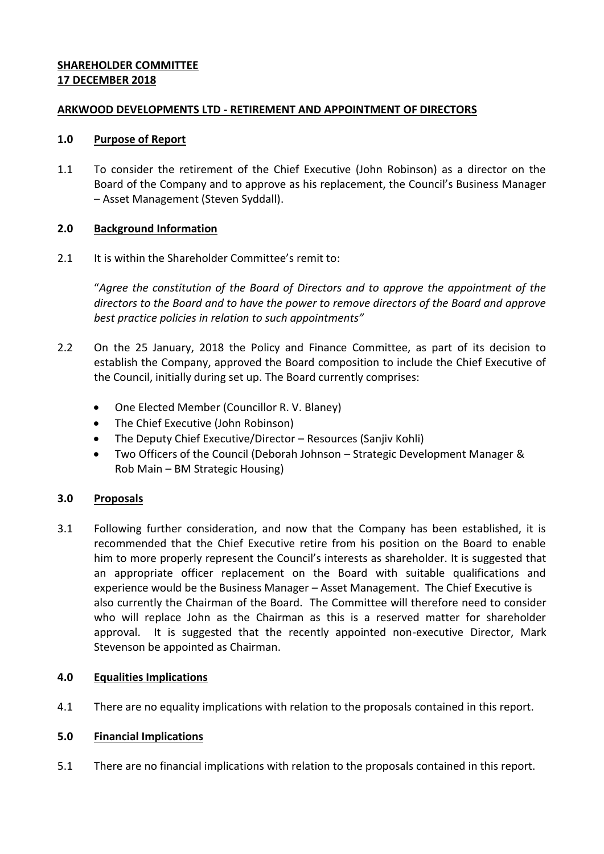# **SHAREHOLDER COMMITTEE 17 DECEMBER 2018**

### **ARKWOOD DEVELOPMENTS LTD - RETIREMENT AND APPOINTMENT OF DIRECTORS**

#### **1.0 Purpose of Report**

1.1 To consider the retirement of the Chief Executive (John Robinson) as a director on the Board of the Company and to approve as his replacement, the Council's Business Manager – Asset Management (Steven Syddall).

### **2.0 Background Information**

2.1 It is within the Shareholder Committee's remit to:

"*Agree the constitution of the Board of Directors and to approve the appointment of the directors to the Board and to have the power to remove directors of the Board and approve best practice policies in relation to such appointments"*

- 2.2 On the 25 January, 2018 the Policy and Finance Committee, as part of its decision to establish the Company, approved the Board composition to include the Chief Executive of the Council, initially during set up. The Board currently comprises:
	- One Elected Member (Councillor R. V. Blaney)
	- The Chief Executive (John Robinson)
	- The Deputy Chief Executive/Director Resources (Sanjiv Kohli)
	- Two Officers of the Council (Deborah Johnson Strategic Development Manager & Rob Main – BM Strategic Housing)

### **3.0 Proposals**

3.1 Following further consideration, and now that the Company has been established, it is recommended that the Chief Executive retire from his position on the Board to enable him to more properly represent the Council's interests as shareholder. It is suggested that an appropriate officer replacement on the Board with suitable qualifications and experience would be the Business Manager – Asset Management. The Chief Executive is also currently the Chairman of the Board. The Committee will therefore need to consider who will replace John as the Chairman as this is a reserved matter for shareholder approval. It is suggested that the recently appointed non-executive Director, Mark Stevenson be appointed as Chairman.

### **4.0 Equalities Implications**

4.1 There are no equality implications with relation to the proposals contained in this report.

### **5.0 Financial Implications**

5.1 There are no financial implications with relation to the proposals contained in this report.